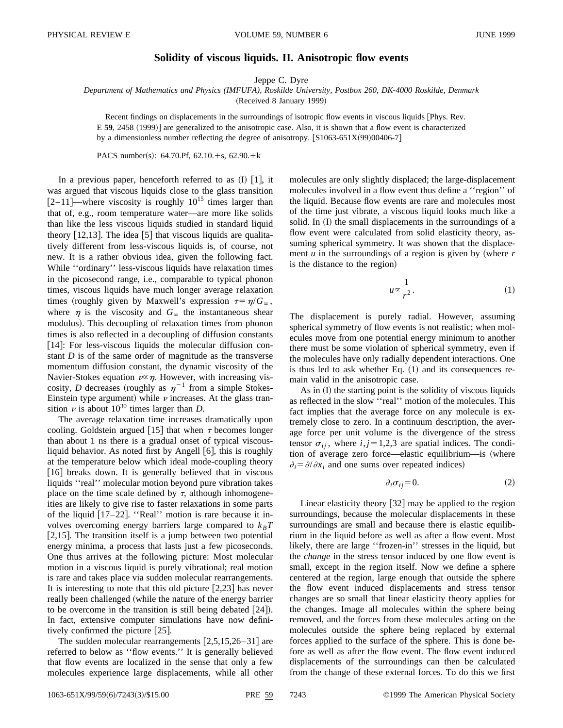## **Solidity of viscous liquids. II. Anisotropic flow events**

Jeppe C. Dyre

*Department of Mathematics and Physics (IMFUFA), Roskilde University, Postbox 260, DK-4000 Roskilde, Denmark*

(Received 8 January 1999)

Recent findings on displacements in the surroundings of isotropic flow events in viscous liquids [Phys. Rev. E **59**, 2458 (1999)] are generalized to the anisotropic case. Also, it is shown that a flow event is characterized by a dimensionless number reflecting the degree of anisotropy.  $\left[ \frac{S1063-651X(99)00406-7}{S1063-651X(99)00406-7} \right]$ 

PACS number(s): 64.70.Pf, 62.10. $+s$ , 62.90. $+k$ 

In a previous paper, henceforth referred to as  $(I)$   $[1]$ , it was argued that viscous liquids close to the glass transition  $[2-11]$ —where viscosity is roughly  $10^{15}$  times larger than that of, e.g., room temperature water—are more like solids than like the less viscous liquids studied in standard liquid theory  $[12,13]$ . The idea  $[5]$  that viscous liquids are qualitatively different from less-viscous liquids is, of course, not new. It is a rather obvious idea, given the following fact. While ''ordinary'' less-viscous liquids have relaxation times in the picosecond range, i.e., comparable to typical phonon times, viscous liquids have much longer average relaxation times (roughly given by Maxwell's expression  $\tau = \eta/G_{\infty}$ , where  $\eta$  is the viscosity and  $G_{\infty}$  the instantaneous shear modulus). This decoupling of relaxation times from phonon times is also reflected in a decoupling of diffusion constants [14]: For less-viscous liquids the molecular diffusion constant *D* is of the same order of magnitude as the transverse momentum diffusion constant, the dynamic viscosity of the Navier-Stokes equation  $\nu \propto \eta$ . However, with increasing viscosity, *D* decreases (roughly as  $\eta^{-1}$  from a simple Stokes-Einstein type argument) while  $\nu$  increases. At the glass transition  $\nu$  is about 10<sup>30</sup> times larger than *D*.

The average relaxation time increases dramatically upon cooling. Goldstein argued [15] that when  $\tau$  becomes longer than about 1 ns there is a gradual onset of typical viscousliquid behavior. As noted first by Angell  $[6]$ , this is roughly at the temperature below which ideal mode-coupling theory [16] breaks down. It is generally believed that in viscous liquids ''real'' molecular motion beyond pure vibration takes place on the time scale defined by  $\tau$ , although inhomogeneities are likely to give rise to faster relaxations in some parts of the liquid  $[17–22]$ . "Real" motion is rare because it involves overcoming energy barriers large compared to  $k_B T$ [2,15]. The transition itself is a jump between two potential energy minima, a process that lasts just a few picoseconds. One thus arrives at the following picture: Most molecular motion in a viscous liquid is purely vibrational; real motion is rare and takes place via sudden molecular rearrangements. It is interesting to note that this old picture  $[2,23]$  has never really been challenged (while the nature of the energy barrier to be overcome in the transition is still being debated  $[24]$ . In fact, extensive computer simulations have now definitively confirmed the picture  $[25]$ .

The sudden molecular rearrangements  $[2,5,15,26-31]$  are referred to below as ''flow events.'' It is generally believed that flow events are localized in the sense that only a few molecules experience large displacements, while all other molecules are only slightly displaced; the large-displacement molecules involved in a flow event thus define a ''region'' of the liquid. Because flow events are rare and molecules most of the time just vibrate, a viscous liquid looks much like a solid. In (I) the small displacements in the surroundings of a flow event were calculated from solid elasticity theory, assuming spherical symmetry. It was shown that the displacement  $u$  in the surroundings of a region is given by (where  $r$ is the distance to the region)

$$
u \propto \frac{1}{r^2}.\tag{1}
$$

The displacement is purely radial. However, assuming spherical symmetry of flow events is not realistic; when molecules move from one potential energy minimum to another there must be some violation of spherical symmetry, even if the molecules have only radially dependent interactions. One is thus led to ask whether Eq.  $(1)$  and its consequences remain valid in the anisotropic case.

As in  $(I)$  the starting point is the solidity of viscous liquids as reflected in the slow ''real'' motion of the molecules. This fact implies that the average force on any molecule is extremely close to zero. In a continuum description, the average force per unit volume is the divergence of the stress tensor  $\sigma_{ii}$ , where  $i, j=1,2,3$  are spatial indices. The condition of average zero force—elastic equilibrium—is (where  $\partial_i = \partial/\partial x_i$  and one sums over repeated indices)

$$
\partial_i \sigma_{ij} = 0. \tag{2}
$$

Linear elasticity theory  $[32]$  may be applied to the region surroundings, because the molecular displacements in these surroundings are small and because there is elastic equilibrium in the liquid before as well as after a flow event. Most likely, there are large ''frozen-in'' stresses in the liquid, but the *change* in the stress tensor induced by one flow event is small, except in the region itself. Now we define a sphere centered at the region, large enough that outside the sphere the flow event induced displacements and stress tensor changes are so small that linear elasticity theory applies for the changes. Image all molecules within the sphere being removed, and the forces from these molecules acting on the molecules outside the sphere being replaced by external forces applied to the surface of the sphere. This is done before as well as after the flow event. The flow event induced displacements of the surroundings can then be calculated from the change of these external forces. To do this we first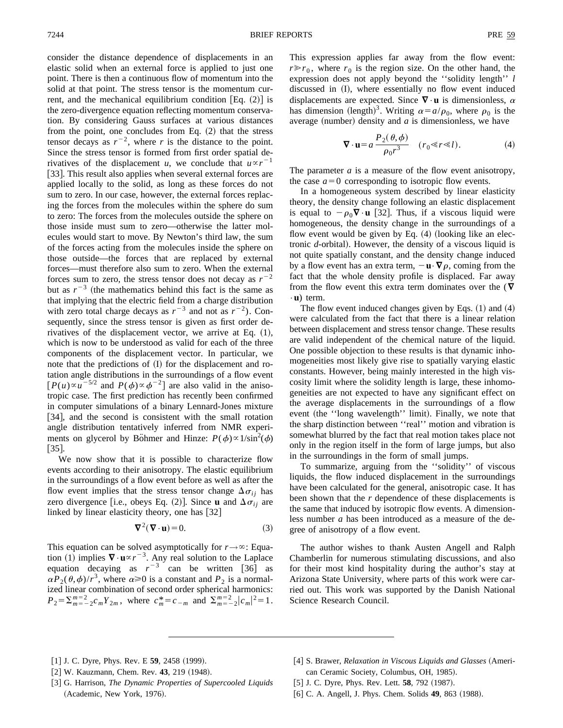consider the distance dependence of displacements in an elastic solid when an external force is applied to just one point. There is then a continuous flow of momentum into the solid at that point. The stress tensor is the momentum current, and the mechanical equilibrium condition  $[Eq. (2)]$  is the zero-divergence equation reflecting momentum conservation. By considering Gauss surfaces at various distances from the point, one concludes from Eq.  $(2)$  that the stress tensor decays as  $r^{-2}$ , where *r* is the distance to the point. Since the stress tensor is formed from first order spatial derivatives of the displacement *u*, we conclude that  $u \propto r^{-1}$ [33]. This result also applies when several external forces are applied locally to the solid, as long as these forces do not sum to zero. In our case, however, the external forces replacing the forces from the molecules within the sphere do sum to zero: The forces from the molecules outside the sphere on those inside must sum to zero—otherwise the latter molecules would start to move. By Newton's third law, the sum of the forces acting from the molecules inside the sphere on those outside—the forces that are replaced by external forces—must therefore also sum to zero. When the external forces sum to zero, the stress tensor does not decay as  $r^{-2}$ but as  $r^{-3}$  (the mathematics behind this fact is the same as that implying that the electric field from a charge distribution with zero total charge decays as  $r^{-3}$  and not as  $r^{-2}$ ). Consequently, since the stress tensor is given as first order derivatives of the displacement vector, we arrive at Eq.  $(1)$ , which is now to be understood as valid for each of the three components of the displacement vector. In particular, we note that the predictions of  $(I)$  for the displacement and rotation angle distributions in the surroundings of a flow event  $[P(u)\propto u^{-5/2}$  and  $P(\phi)\propto \phi^{-2}$  are also valid in the anisotropic case. The first prediction has recently been confirmed in computer simulations of a binary Lennard-Jones mixture [34], and the second is consistent with the small rotation angle distribution tentatively inferred from NMR experiments on glycerol by Böhmer and Hinze:  $P(\phi) \propto 1/\sin^2(\phi)$  $[35]$ .

We now show that it is possible to characterize flow events according to their anisotropy. The elastic equilibrium in the surroundings of a flow event before as well as after the flow event implies that the stress tensor change  $\Delta \sigma_{ii}$  has zero divergence [i.e., obeys Eq. (2)]. Since **u** and  $\Delta \sigma_{ii}$  are linked by linear elasticity theory, one has  $[32]$ 

$$
\nabla^2(\nabla \cdot \mathbf{u}) = 0. \tag{3}
$$

This equation can be solved asymptotically for  $r \rightarrow \infty$ : Equation (1) implies  $\nabla \cdot \mathbf{u} \propto r^{-3}$ . Any real solution to the Laplace equation decaying as  $r^{-3}$  can be written [36] as  $\alpha P_2(\theta, \phi)/r^3$ , where  $\alpha \ge 0$  is a constant and  $P_2$  is a normalized linear combination of second order spherical harmonics:  $P_2 = \sum_{m=-2}^{m=2} c_m Y_{2m}$ , where  $c_m^* = c_{-m}$  and  $\sum_{m=-2}^{m=2} |c_m|^2 = 1$ . This expression applies far away from the flow event:  $r \gg r_0$ , where  $r_0$  is the region size. On the other hand, the expression does not apply beyond the ''solidity length'' *l* discussed in  $(I)$ , where essentially no flow event induced displacements are expected. Since  $\nabla \cdot$ **u** is dimensionless,  $\alpha$ has dimension (length)<sup>3</sup>. Writing  $\alpha = a/\rho_0$ , where  $\rho_0$  is the average (number) density and  $a$  is dimensionless, we have

$$
\nabla \cdot \mathbf{u} = a \frac{P_2(\theta, \phi)}{\rho_0 r^3} \quad (r_0 \ll r \ll l). \tag{4}
$$

The parameter *a* is a measure of the flow event anisotropy, the case  $a=0$  corresponding to isotropic flow events.

In a homogeneous system described by linear elasticity theory, the density change following an elastic displacement is equal to  $-\rho_0 \nabla \cdot \mathbf{u}$  [32]. Thus, if a viscous liquid were homogeneous, the density change in the surroundings of a flow event would be given by Eq.  $(4)$  (looking like an electronic *d*-orbital). However, the density of a viscous liquid is not quite spatially constant, and the density change induced by a flow event has an extra term,  $-\mathbf{u} \cdot \nabla \rho$ , coming from the fact that the whole density profile is displaced. Far away from the flow event this extra term dominates over the  $(\nabla)$  $\cdot$ **u**) term.

The flow event induced changes given by Eqs.  $(1)$  and  $(4)$ were calculated from the fact that there is a linear relation between displacement and stress tensor change. These results are valid independent of the chemical nature of the liquid. One possible objection to these results is that dynamic inhomogeneities most likely give rise to spatially varying elastic constants. However, being mainly interested in the high viscosity limit where the solidity length is large, these inhomogeneities are not expected to have any significant effect on the average displacements in the surroundings of a flow event (the "long wavelength" limit). Finally, we note that the sharp distinction between ''real'' motion and vibration is somewhat blurred by the fact that real motion takes place not only in the region itself in the form of large jumps, but also in the surroundings in the form of small jumps.

To summarize, arguing from the ''solidity'' of viscous liquids, the flow induced displacement in the surroundings have been calculated for the general, anisotropic case. It has been shown that the *r* dependence of these displacements is the same that induced by isotropic flow events. A dimensionless number *a* has been introduced as a measure of the degree of anisotropy of a flow event.

The author wishes to thank Austen Angell and Ralph Chamberlin for numerous stimulating discussions, and also for their most kind hospitality during the author's stay at Arizona State University, where parts of this work were carried out. This work was supported by the Danish National Science Research Council.

- $[1]$  J. C. Dyre, Phys. Rev. E **59**, 2458  $(1999)$ .
- [2] W. Kauzmann, Chem. Rev. 43, 219 (1948).
- [3] G. Harrison, *The Dynamic Properties of Supercooled Liquids* (Academic, New York, 1976).
- [4] S. Brawer, *Relaxation in Viscous Liquids and Glasses* (American Ceramic Society, Columbus, OH, 1985).
- [5] J. C. Dyre, Phys. Rev. Lett. **58**, 792 (1987).
- [6] C. A. Angell, J. Phys. Chem. Solids **49**, 863 (1988).